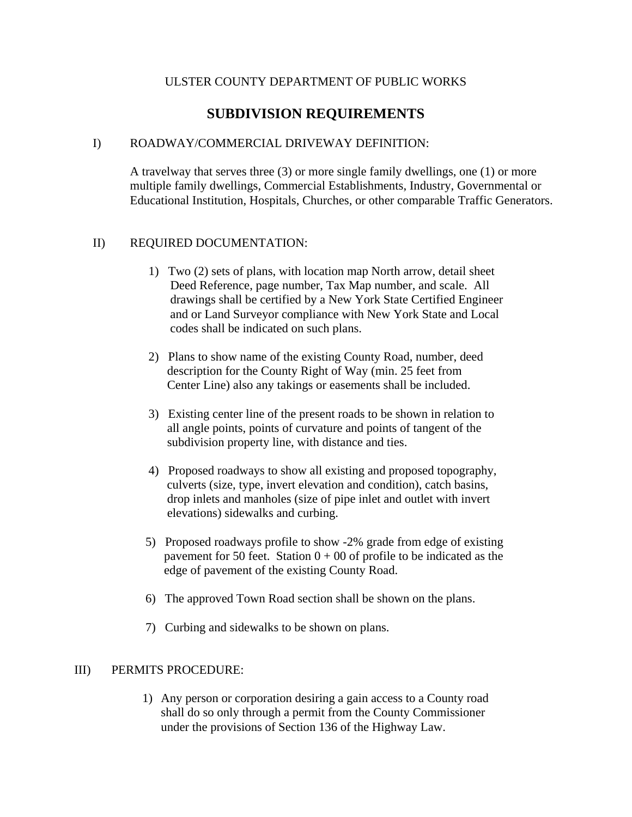# ULSTER COUNTY DEPARTMENT OF PUBLIC WORKS

# **SUBDIVISION REQUIREMENTS**

# I) ROADWAY/COMMERCIAL DRIVEWAY DEFINITION:

A travelway that serves three (3) or more single family dwellings, one (1) or more multiple family dwellings, Commercial Establishments, Industry, Governmental or Educational Institution, Hospitals, Churches, or other comparable Traffic Generators.

### II) REQUIRED DOCUMENTATION:

- 1) Two (2) sets of plans, with location map North arrow, detail sheet Deed Reference, page number, Tax Map number, and scale. All drawings shall be certified by a New York State Certified Engineer and or Land Surveyor compliance with New York State and Local codes shall be indicated on such plans.
- 2) Plans to show name of the existing County Road, number, deed description for the County Right of Way (min. 25 feet from Center Line) also any takings or easements shall be included.
- 3) Existing center line of the present roads to be shown in relation to all angle points, points of curvature and points of tangent of the subdivision property line, with distance and ties.
- 4) Proposed roadways to show all existing and proposed topography, culverts (size, type, invert elevation and condition), catch basins, drop inlets and manholes (size of pipe inlet and outlet with invert elevations) sidewalks and curbing.
- 5) Proposed roadways profile to show -2% grade from edge of existing pavement for 50 feet. Station  $0 + 00$  of profile to be indicated as the edge of pavement of the existing County Road.
- 6) The approved Town Road section shall be shown on the plans.
- 7) Curbing and sidewalks to be shown on plans.

### III) PERMITS PROCEDURE:

1) Any person or corporation desiring a gain access to a County road shall do so only through a permit from the County Commissioner under the provisions of Section 136 of the Highway Law.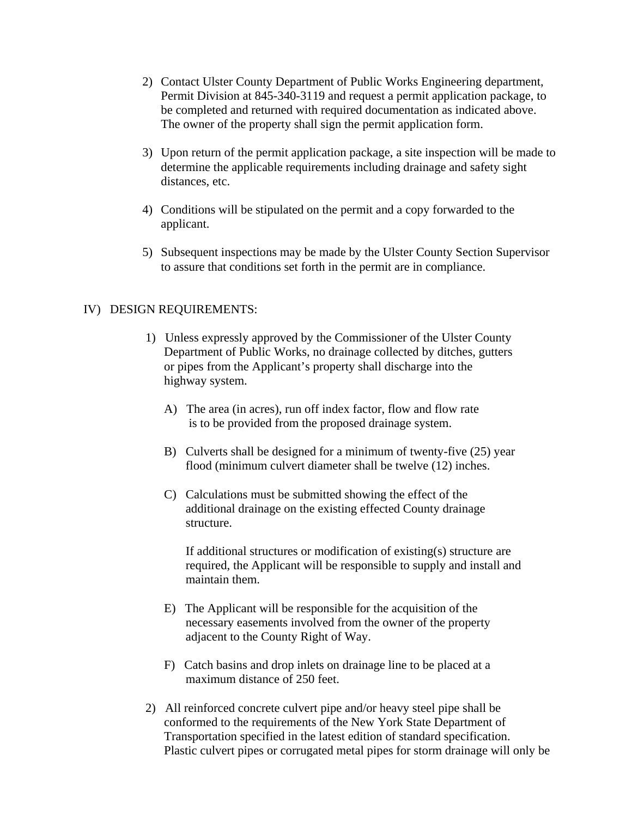- 2) Contact Ulster County Department of Public Works Engineering department, Permit Division at 845-340-3119 and request a permit application package, to be completed and returned with required documentation as indicated above. The owner of the property shall sign the permit application form.
- 3) Upon return of the permit application package, a site inspection will be made to determine the applicable requirements including drainage and safety sight distances, etc.
- 4) Conditions will be stipulated on the permit and a copy forwarded to the applicant.
- 5) Subsequent inspections may be made by the Ulster County Section Supervisor to assure that conditions set forth in the permit are in compliance.

### IV) DESIGN REQUIREMENTS:

- 1) Unless expressly approved by the Commissioner of the Ulster County Department of Public Works, no drainage collected by ditches, gutters or pipes from the Applicant's property shall discharge into the highway system.
	- A) The area (in acres), run off index factor, flow and flow rate is to be provided from the proposed drainage system.
	- B) Culverts shall be designed for a minimum of twenty-five (25) year flood (minimum culvert diameter shall be twelve (12) inches.
	- C) Calculations must be submitted showing the effect of the additional drainage on the existing effected County drainage structure.

If additional structures or modification of existing(s) structure are required, the Applicant will be responsible to supply and install and maintain them.

- E) The Applicant will be responsible for the acquisition of the necessary easements involved from the owner of the property adjacent to the County Right of Way.
- F) Catch basins and drop inlets on drainage line to be placed at a maximum distance of 250 feet.
- 2) All reinforced concrete culvert pipe and/or heavy steel pipe shall be conformed to the requirements of the New York State Department of Transportation specified in the latest edition of standard specification. Plastic culvert pipes or corrugated metal pipes for storm drainage will only be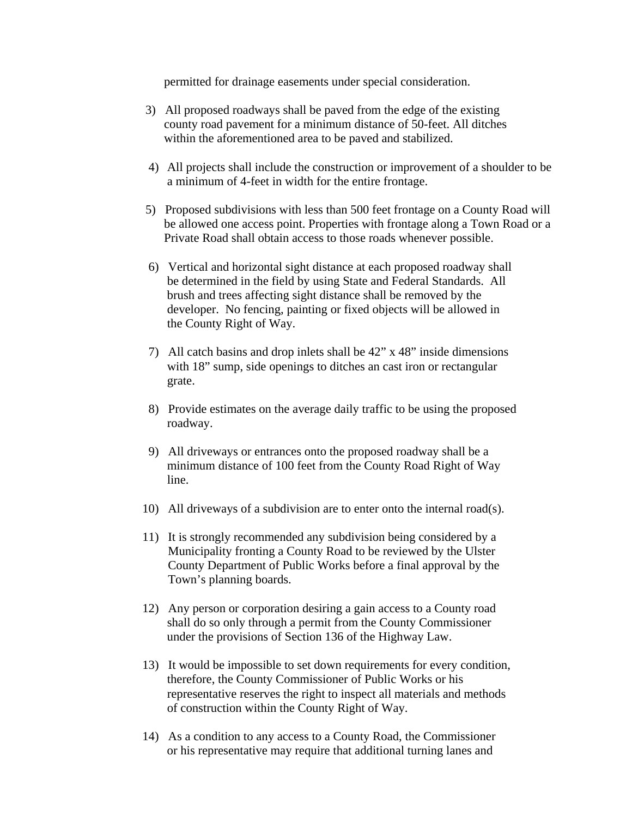permitted for drainage easements under special consideration.

- 3) All proposed roadways shall be paved from the edge of the existing county road pavement for a minimum distance of 50-feet. All ditches within the aforementioned area to be paved and stabilized.
- 4) All projects shall include the construction or improvement of a shoulder to be a minimum of 4-feet in width for the entire frontage.
- 5) Proposed subdivisions with less than 500 feet frontage on a County Road will be allowed one access point. Properties with frontage along a Town Road or a Private Road shall obtain access to those roads whenever possible.
- 6) Vertical and horizontal sight distance at each proposed roadway shall be determined in the field by using State and Federal Standards. All brush and trees affecting sight distance shall be removed by the developer. No fencing, painting or fixed objects will be allowed in the County Right of Way.
- 7) All catch basins and drop inlets shall be 42" x 48" inside dimensions with 18" sump, side openings to ditches an cast iron or rectangular grate.
- 8) Provide estimates on the average daily traffic to be using the proposed roadway.
- 9) All driveways or entrances onto the proposed roadway shall be a minimum distance of 100 feet from the County Road Right of Way line.
- 10) All driveways of a subdivision are to enter onto the internal road(s).
- 11) It is strongly recommended any subdivision being considered by a Municipality fronting a County Road to be reviewed by the Ulster County Department of Public Works before a final approval by the Town's planning boards.
- 12) Any person or corporation desiring a gain access to a County road shall do so only through a permit from the County Commissioner under the provisions of Section 136 of the Highway Law.
- 13) It would be impossible to set down requirements for every condition, therefore, the County Commissioner of Public Works or his representative reserves the right to inspect all materials and methods of construction within the County Right of Way.
- 14) As a condition to any access to a County Road, the Commissioner or his representative may require that additional turning lanes and